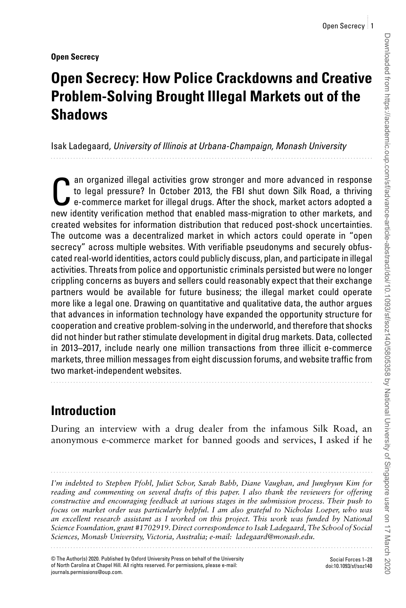**Open Secrecy**

# **Open Secrecy: How Police Crackdowns and Creative Problem-Solving Brought Illegal Markets out of the Shadows**

Isak Ladegaard, University of Illinois at Urbana-Champaign, Monash University

an organized illegal activities grow stronger and more advanced in response<br>to legal pressure? In October 2013, the FBI shut down Silk Road, a thriving<br>e-commerce market for illegal drugs. After the shock, market actors ad an organized illegal activities grow stronger and more advanced in response to legal pressure? In October 2013, the FBI shut down Silk Road, a thriving e-commerce market for illegal drugs. After the shock, market actors adopted a created websites for information distribution that reduced post-shock uncertainties. The outcome was a decentralized market in which actors could operate in "open secrecy" across multiple websites. With verifiable pseudonyms and securely obfuscated real-world identities, actors could publicly discuss, plan, and participate in illegal activities. Threats from police and opportunistic criminals persisted but were no longer crippling concerns as buyers and sellers could reasonably expect that their exchange partners would be available for future business; the illegal market could operate more like a legal one. Drawing on quantitative and qualitative data, the author argues that advances in information technology have expanded the opportunity structure for cooperation and creative problem-solving in the underworld, and therefore that shocks did not hinder but rather stimulate development in digital drug markets. Data, collected in 2013–2017, include nearly one million transactions from three illicit e-commerce markets, three million messages from eight discussion forums, and website traffic from two market-independent websites.

## **Introduction**

During an interview with a drug dealer from the infamous Silk Road, an anonymous e-commerce market for banned goods and services, I asked if he

I'm indebted to Stephen Pfohl, Juliet Schor, Sarah Babb, Diane Vaughan, and Junghyun Kim for reading and commenting on several drafts of this paper. I also thank the reviewers for offering constructive and encouraging feedback at various stages in the submission process. Their push to focus on market order was particularly helpful. I am also grateful to Nicholas Loeper, who was an excellent research assistant as I worked on this project. This work was funded by National Science Foundation, grant #1702919. Direct correspondence to Isak Ladegaard, The School of Social Sciences, Monash University, Victoria, Australia; e-mail: ladegaard@monash.edu.

© The Author(s) 2020. Published by Oxford University Press on behalf of the University of North Carolina at Chapel Hill. All rights reserved. For permissions, please e-mail: journals.permissions@oup.com.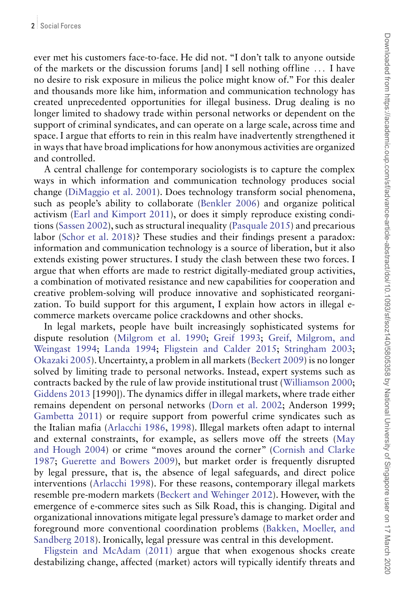ever met his customers face-to-face. He did not. "I don't talk to anyone outside of the markets or the discussion forums [and] I sell nothing offline ... I have no desire to risk exposure in milieus the police might know of." For this dealer and thousands more like him, information and communication technology has created unprecedented opportunities for illegal business. Drug dealing is no longer limited to shadowy trade within personal networks or dependent on the support of criminal syndicates, and can operate on a large scale, across time and space. I argue that efforts to rein in this realm have inadvertently strengthened it in ways that have broad implications for how anonymous activities are organized and controlled.

A central challenge for contemporary sociologists is to capture the complex ways in which information and communication technology produces social change (DiMaggio et al. 2001). Does technology transform social phenomena, such as people's ability to collaborate (Benkler 2006) and organize political activism (Earl and Kimport 2011), or does it simply reproduce existing conditions (Sassen 2002), such as structural inequality (Pasquale 2015) and precarious labor (Schor et al. 2018)? These studies and their findings present a paradox: information and communication technology is a source of liberation, but it also extends existing power structures. I study the clash between these two forces. I argue that when efforts are made to restrict digitally-mediated group activities, a combination of motivated resistance and new capabilities for cooperation and creative problem-solving will produce innovative and sophisticated reorganization. To build support for this argument, I explain how actors in illegal ecommerce markets overcame police crackdowns and other shocks.

In legal markets, people have built increasingly sophisticated systems for dispute resolution (Milgrom et al. 1990; Greif 1993; Greif, Milgrom, and Weingast 1994; Landa 1994; Fligstein and Calder 2015; Stringham 2003; Okazaki 2005). Uncertainty, a problem in all markets (Beckert 2009) is no longer solved by limiting trade to personal networks. Instead, expert systems such as contracts backed by the rule of law provide institutional trust (Williamson 2000; Giddens 2013 [1990]). The dynamics differ in illegal markets, where trade either remains dependent on personal networks (Dorn et al. 2002; Anderson 1999; Gambetta 2011) or require support from powerful crime syndicates such as the Italian mafia (Arlacchi 1986, 1998). Illegal markets often adapt to internal and external constraints, for example, as sellers move off the streets (May and Hough 2004) or crime "moves around the corner" (Cornish and Clarke 1987; Guerette and Bowers 2009), but market order is frequently disrupted by legal pressure, that is, the absence of legal safeguards, and direct police interventions (Arlacchi 1998). For these reasons, contemporary illegal markets resemble pre-modern markets (Beckert and Wehinger 2012). However, with the emergence of e-commerce sites such as Silk Road, this is changing. Digital and organizational innovations mitigate legal pressure's damage to market order and foreground more conventional coordination problems (Bakken, Moeller, and Sandberg 2018). Ironically, legal pressure was central in this development.

Fligstein and McAdam (2011) argue that when exogenous shocks create destabilizing change, affected (market) actors will typically identify threats and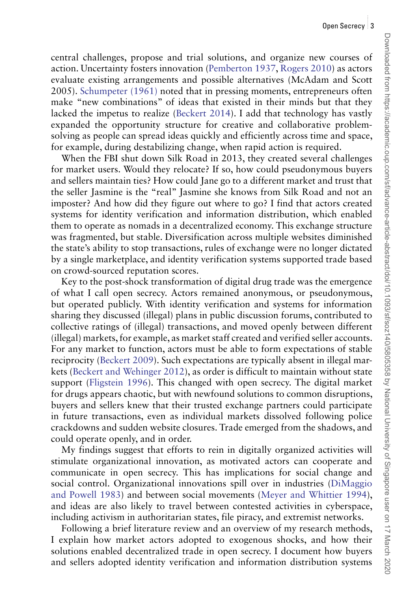central challenges, propose and trial solutions, and organize new courses of action. Uncertainty fosters innovation (Pemberton 1937, Rogers 2010) as actors evaluate existing arrangements and possible alternatives (McAdam and Scott 2005). Schumpeter (1961) noted that in pressing moments, entrepreneurs often make "new combinations" of ideas that existed in their minds but that they lacked the impetus to realize (Beckert 2014). I add that technology has vastly expanded the opportunity structure for creative and collaborative problemsolving as people can spread ideas quickly and efficiently across time and space, for example, during destabilizing change, when rapid action is required.

When the FBI shut down Silk Road in 2013, they created several challenges for market users. Would they relocate? If so, how could pseudonymous buyers and sellers maintain ties? How could Jane go to a different market and trust that the seller Jasmine is the "real" Jasmine she knows from Silk Road and not an imposter? And how did they figure out where to go? I find that actors created systems for identity verification and information distribution, which enabled them to operate as nomads in a decentralized economy. This exchange structure was fragmented, but stable. Diversification across multiple websites diminished the state's ability to stop transactions, rules of exchange were no longer dictated by a single marketplace, and identity verification systems supported trade based on crowd-sourced reputation scores.

Key to the post-shock transformation of digital drug trade was the emergence of what I call open secrecy. Actors remained anonymous, or pseudonymous, but operated publicly. With identity verification and systems for information sharing they discussed (illegal) plans in public discussion forums, contributed to collective ratings of (illegal) transactions, and moved openly between different (illegal) markets, for example, as market staff created and verified seller accounts. For any market to function, actors must be able to form expectations of stable reciprocity (Beckert 2009). Such expectations are typically absent in illegal markets (Beckert and Wehinger 2012), as order is difficult to maintain without state support (Fligstein 1996). This changed with open secrecy. The digital market for drugs appears chaotic, but with newfound solutions to common disruptions, buyers and sellers knew that their trusted exchange partners could participate in future transactions, even as individual markets dissolved following police crackdowns and sudden website closures. Trade emerged from the shadows, and could operate openly, and in order.

My findings suggest that efforts to rein in digitally organized activities will stimulate organizational innovation, as motivated actors can cooperate and communicate in open secrecy. This has implications for social change and social control. Organizational innovations spill over in industries (DiMaggio and Powell 1983) and between social movements (Meyer and Whittier 1994), and ideas are also likely to travel between contested activities in cyberspace, including activism in authoritarian states, file piracy, and extremist networks.

Following a brief literature review and an overview of my research methods, I explain how market actors adopted to exogenous shocks, and how their solutions enabled decentralized trade in open secrecy. I document how buyers and sellers adopted identity verification and information distribution systems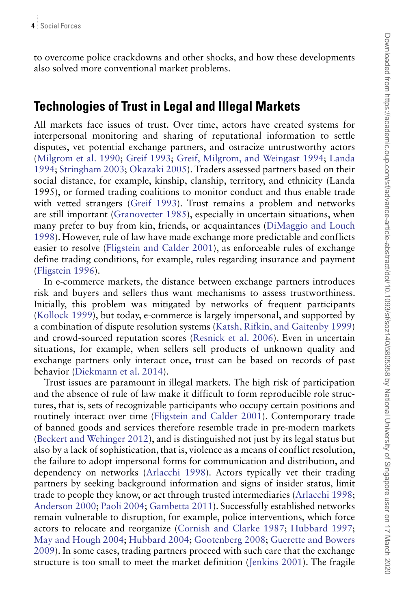to overcome police crackdowns and other shocks, and how these developments also solved more conventional market problems.

#### **Technologies of Trust in Legal and Illegal Markets**

All markets face issues of trust. Over time, actors have created systems for interpersonal monitoring and sharing of reputational information to settle disputes, vet potential exchange partners, and ostracize untrustworthy actors (Milgrom et al. 1990; Greif 1993; Greif, Milgrom, and Weingast 1994; Landa 1994; Stringham 2003; Okazaki 2005). Traders assessed partners based on their social distance, for example, kinship, clanship, territory, and ethnicity (Landa 1995), or formed trading coalitions to monitor conduct and thus enable trade with vetted strangers (Greif 1993). Trust remains a problem and networks are still important (Granovetter 1985), especially in uncertain situations, when many prefer to buy from kin, friends, or acquaintances (DiMaggio and Louch 1998). However, rule of law have made exchange more predictable and conflicts easier to resolve (Fligstein and Calder 2001), as enforceable rules of exchange define trading conditions, for example, rules regarding insurance and payment (Fligstein 1996).

In e-commerce markets, the distance between exchange partners introduces risk and buyers and sellers thus want mechanisms to assess trustworthiness. Initially, this problem was mitigated by networks of frequent participants (Kollock 1999), but today, e-commerce is largely impersonal, and supported by a combination of dispute resolution systems (Katsh, Rifkin, and Gaitenby 1999) and crowd-sourced reputation scores (Resnick et al. 2006). Even in uncertain situations, for example, when sellers sell products of unknown quality and exchange partners only interact once, trust can be based on records of past behavior (Diekmann et al. 2014).

Trust issues are paramount in illegal markets. The high risk of participation and the absence of rule of law make it difficult to form reproducible role structures, that is, sets of recognizable participants who occupy certain positions and routinely interact over time (Fligstein and Calder 2001). Contemporary trade of banned goods and services therefore resemble trade in pre-modern markets (Beckert and Wehinger 2012), and is distinguished not just by its legal status but also by a lack of sophistication, that is, violence as a means of conflict resolution, the failure to adopt impersonal forms for communication and distribution, and dependency on networks (Arlacchi 1998). Actors typically vet their trading partners by seeking background information and signs of insider status, limit trade to people they know, or act through trusted intermediaries (Arlacchi 1998; Anderson 2000; Paoli 2004; Gambetta 2011). Successfully established networks remain vulnerable to disruption, for example, police interventions, which force actors to relocate and reorganize (Cornish and Clarke 1987; Hubbard 1997; May and Hough 2004; Hubbard 2004; Gootenberg 2008; Guerette and Bowers 2009). In some cases, trading partners proceed with such care that the exchange structure is too small to meet the market definition (Jenkins 2001). The fragile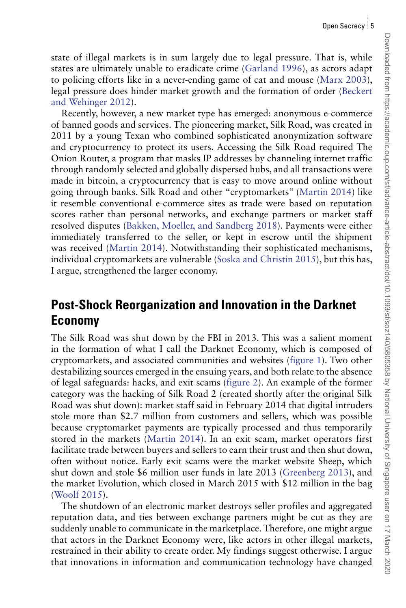state of illegal markets is in sum largely due to legal pressure. That is, while states are ultimately unable to eradicate crime (Garland 1996), as actors adapt to policing efforts like in a never-ending game of cat and mouse (Marx 2003), legal pressure does hinder market growth and the formation of order (Beckert and Wehinger 2012).

Recently, however, a new market type has emerged: anonymous e-commerce of banned goods and services. The pioneering market, Silk Road, was created in 2011 by a young Texan who combined sophisticated anonymization software and cryptocurrency to protect its users. Accessing the Silk Road required The Onion Router, a program that masks IP addresses by channeling internet traffic through randomly selected and globally dispersed hubs, and all transactions were made in bitcoin, a cryptocurrency that is easy to move around online without going through banks. Silk Road and other "cryptomarkets" (Martin 2014) like it resemble conventional e-commerce sites as trade were based on reputation scores rather than personal networks, and exchange partners or market staff resolved disputes (Bakken, Moeller, and Sandberg 2018). Payments were either immediately transferred to the seller, or kept in escrow until the shipment was received (Martin 2014). Notwithstanding their sophisticated mechanisms, individual cryptomarkets are vulnerable (Soska and Christin 2015), but this has, I argue, strengthened the larger economy.

### **Post-Shock Reorganization and Innovation in the Darknet Economy**

The Silk Road was shut down by the FBI in 2013. This was a salient moment in the formation of what I call the Darknet Economy, which is composed of cryptomarkets, and associated communities and websites (figure 1). Two other destabilizing sources emerged in the ensuing years, and both relate to the absence of legal safeguards: hacks, and exit scams (figure 2). An example of the former category was the hacking of Silk Road 2 (created shortly after the original Silk Road was shut down): market staff said in February 2014 that digital intruders stole more than \$2.7 million from customers and sellers, which was possible because cryptomarket payments are typically processed and thus temporarily stored in the markets (Martin 2014). In an exit scam, market operators first facilitate trade between buyers and sellers to earn their trust and then shut down, often without notice. Early exit scams were the market website Sheep, which shut down and stole \$6 million user funds in late 2013 (Greenberg 2013), and the market Evolution, which closed in March 2015 with \$12 million in the bag (Woolf 2015).

The shutdown of an electronic market destroys seller profiles and aggregated reputation data, and ties between exchange partners might be cut as they are suddenly unable to communicate in the marketplace. Therefore, one might argue that actors in the Darknet Economy were, like actors in other illegal markets, restrained in their ability to create order. My findings suggest otherwise. I argue that innovations in information and communication technology have changed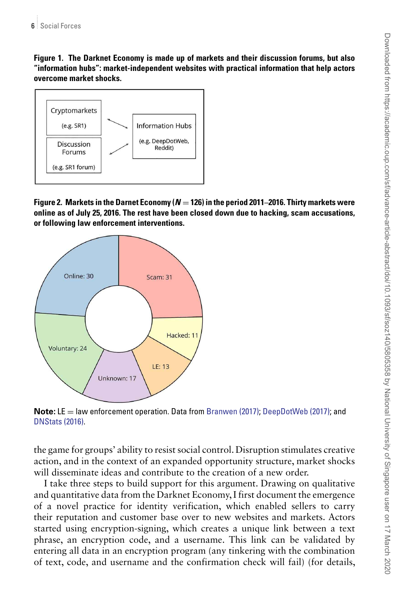**Figure 1. The Darknet Economy is made up of markets and their discussion forums, but also "information hubs": market-independent websites with practical information that help actors overcome market shocks.**



**Figure 2. Markets in the Darnet Economy (N** = **126) in the period 2011**–**2016. Thirty markets were online as of July 25, 2016. The rest have been closed down due to hacking, scam accusations, or following law enforcement interventions.**



**Note:** LE = law enforcement operation. Data from Branwen (2017); DeepDotWeb (2017); and DNStats (2016).

the game for groups' ability to resist social control. Disruption stimulates creative action, and in the context of an expanded opportunity structure, market shocks will disseminate ideas and contribute to the creation of a new order.

I take three steps to build support for this argument. Drawing on qualitative and quantitative data from the Darknet Economy, I first document the emergence of a novel practice for identity verification, which enabled sellers to carry their reputation and customer base over to new websites and markets. Actors started using encryption-signing, which creates a unique link between a text phrase, an encryption code, and a username. This link can be validated by entering all data in an encryption program (any tinkering with the combination of text, code, and username and the confirmation check will fail) (for details,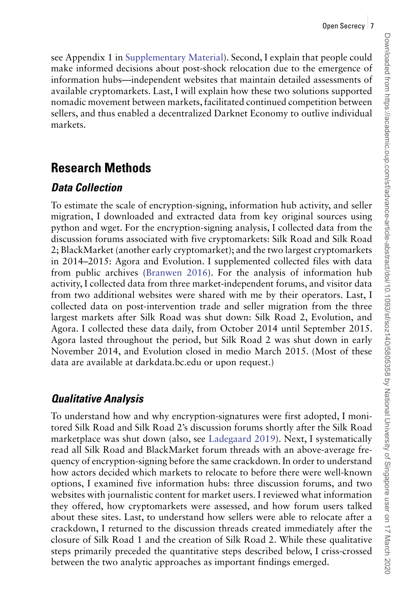see Appendix 1 in Supplementary Material). Second, I explain that people could make informed decisions about post-shock relocation due to the emergence of information hubs—independent websites that maintain detailed assessments of available cryptomarkets. Last, I will explain how these two solutions supported nomadic movement between markets, facilitated continued competition between sellers, and thus enabled a decentralized Darknet Economy to outlive individual markets.

### **Research Methods**

#### **Data Collection**

To estimate the scale of encryption-signing, information hub activity, and seller migration, I downloaded and extracted data from key original sources using python and wget. For the encryption-signing analysis, I collected data from the discussion forums associated with five cryptomarkets: Silk Road and Silk Road 2; BlackMarket (another early cryptomarket); and the two largest cryptomarkets in 2014–2015: Agora and Evolution. I supplemented collected files with data from public archives (Branwen 2016). For the analysis of information hub activity, I collected data from three market-independent forums, and visitor data from two additional websites were shared with me by their operators. Last, I collected data on post-intervention trade and seller migration from the three largest markets after Silk Road was shut down: Silk Road 2, Evolution, and Agora. I collected these data daily, from October 2014 until September 2015. Agora lasted throughout the period, but Silk Road 2 was shut down in early November 2014, and Evolution closed in medio March 2015. (Most of these data are available at darkdata.bc.edu or upon request.)

### **Qualitative Analysis**

To understand how and why encryption-signatures were first adopted, I monitored Silk Road and Silk Road 2's discussion forums shortly after the Silk Road marketplace was shut down (also, see Ladegaard 2019). Next, I systematically read all Silk Road and BlackMarket forum threads with an above-average frequency of encryption-signing before the same crackdown. In order to understand how actors decided which markets to relocate to before there were well-known options, I examined five information hubs: three discussion forums, and two websites with journalistic content for market users. I reviewed what information they offered, how cryptomarkets were assessed, and how forum users talked about these sites. Last, to understand how sellers were able to relocate after a crackdown, I returned to the discussion threads created immediately after the closure of Silk Road 1 and the creation of Silk Road 2. While these qualitative steps primarily preceded the quantitative steps described below, I criss-crossed between the two analytic approaches as important findings emerged.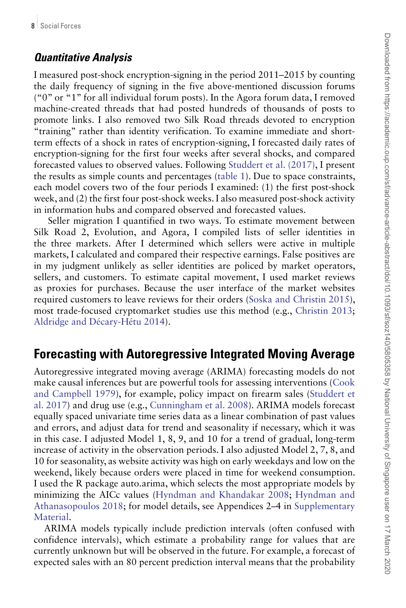### **Quantitative Analysis**

I measured post-shock encryption-signing in the period 2011–2015 by counting the daily frequency of signing in the five above-mentioned discussion forums ("0" or "1" for all individual forum posts). In the Agora forum data, I removed machine-created threads that had posted hundreds of thousands of posts to promote links. I also removed two Silk Road threads devoted to encryption "training" rather than identity verification. To examine immediate and shortterm effects of a shock in rates of encryption-signing, I forecasted daily rates of encryption-signing for the first four weeks after several shocks, and compared forecasted values to observed values. Following Studdert et al. (2017), I present the results as simple counts and percentages (table 1). Due to space constraints, each model covers two of the four periods I examined: (1) the first post-shock week, and (2) the first four post-shock weeks. I also measured post-shock activity in information hubs and compared observed and forecasted values.

Seller migration I quantified in two ways. To estimate movement between Silk Road 2, Evolution, and Agora, I compiled lists of seller identities in the three markets. After I determined which sellers were active in multiple markets, I calculated and compared their respective earnings. False positives are in my judgment unlikely as seller identities are policed by market operators, sellers, and customers. To estimate capital movement, I used market reviews as proxies for purchases. Because the user interface of the market websites required customers to leave reviews for their orders (Soska and Christin 2015), most trade-focused cryptomarket studies use this method (e.g., Christin 2013; Aldridge and Décary-Hétu 2014).

## **Forecasting with Autoregressive Integrated Moving Average**

Autoregressive integrated moving average (ARIMA) forecasting models do not make causal inferences but are powerful tools for assessing interventions (Cook and Campbell 1979), for example, policy impact on firearm sales (Studdert et al. 2017) and drug use (e.g., Cunningham et al. 2008). ARIMA models forecast equally spaced univariate time series data as a linear combination of past values and errors, and adjust data for trend and seasonality if necessary, which it was in this case. I adjusted Model 1, 8, 9, and 10 for a trend of gradual, long-term increase of activity in the observation periods. I also adjusted Model 2, 7, 8, and 10 for seasonality, as website activity was high on early weekdays and low on the weekend, likely because orders were placed in time for weekend consumption. I used the R package auto.arima, which selects the most appropriate models by minimizing the AICc values (Hyndman and Khandakar 2008; Hyndman and Athanasopoulos 2018; for model details, see Appendices 2–4 in Supplementary Material.

ARIMA models typically include prediction intervals (often confused with confidence intervals), which estimate a probability range for values that are currently unknown but will be observed in the future. For example, a forecast of expected sales with an 80 percent prediction interval means that the probability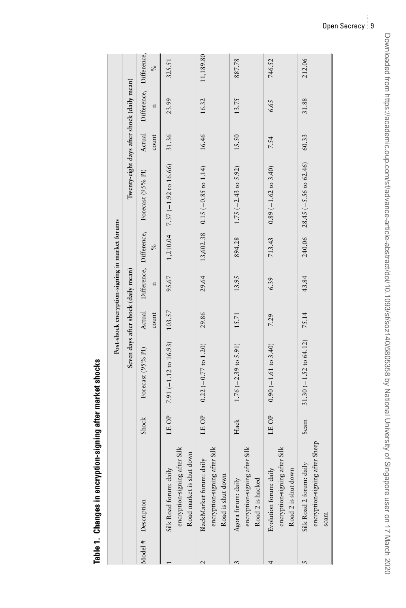Table 1. Changes in encryption-signing after market shocks **Table 1. Changes in encryption-signing after market shocks**

|                                                                                     |       |                                        |                 | Post-shock encryption-signing in market forums |               |                                            |                 |                                         |               |
|-------------------------------------------------------------------------------------|-------|----------------------------------------|-----------------|------------------------------------------------|---------------|--------------------------------------------|-----------------|-----------------------------------------|---------------|
|                                                                                     |       |                                        |                 | Seven days after shock (daily mean)            |               | Twenty-eight days after shock (daily mean) |                 |                                         |               |
| Model # Description                                                                 | Shock | Forecast (95% PI)                      | Actual<br>count | Difference, Difference,<br>$\mathbf{u}$        | $\frac{6}{6}$ | Forecast (95% PI)                          | Actual<br>count | Difference, Difference,<br>$\mathbf{u}$ | $\frac{5}{6}$ |
| encryption-signing after Silk<br>Road market is shut down<br>Silk Road forum: daily |       | LE OP 7.91 $(-1.12 \text{ to } 16.93)$ | 103.57          | 95.67                                          |               | 1,210.04 $7.37 (-1.92 \text{ to } 16.66)$  | 31.36           | 23.99                                   | 325.51        |
| encryption-signing after Silk<br>BlackMarket forum: daily<br>Road is shut down      | LE OP | $0.22 (-0.77$ to $1.20)$               | 29.86           | 29.64                                          |               | 13,602.38 $0.15 (-0.85 \text{ to } 1.14)$  | 16.46           | 16.32                                   | 11,189.80     |
| encryption-signing after Silk<br>Agora forum: daily<br>Road 2 is hacked             | Hack  | $1.76 (-2.39$ to $5.91)$               | 15.71           | 13.95                                          | 894.28        | $1.75 (-2.43 to 5.92)$                     | 15.50           | 13.75                                   | 887.78        |
| encryption-signing after Silk<br>Road 2 is shut down<br>Evolution forum: daily      | LE OP | $0.90 (-1.61$ to 3.40)                 | 7.29            | 6.39                                           | 713.43        | $0.89(-1.62 \text{ to } 3.40)$             | 7.54            | 6.65                                    | 746.52        |
| encryption-signing after Sheep<br>Silk Road 2 forum: daily<br>scam                  | Scam  | 31.30 ( $-1.52$ to 64.12)              | 75.14           | 43.84                                          | 240.06        | 28.45 ( $-5.56$ to $62.46$ )               | 60.33           | 31.88                                   | 212.06        |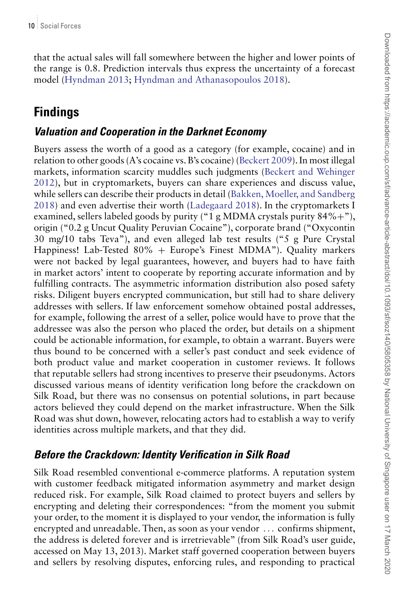that the actual sales will fall somewhere between the higher and lower points of the range is 0.8. Prediction intervals thus express the uncertainty of a forecast model (Hyndman 2013; Hyndman and Athanasopoulos 2018).

## **Findings**

### **Valuation and Cooperation in the Darknet Economy**

Buyers assess the worth of a good as a category (for example, cocaine) and in relation to other goods (A's cocaine vs. B's cocaine) (Beckert 2009). In most illegal markets, information scarcity muddles such judgments (Beckert and Wehinger 2012), but in cryptomarkets, buyers can share experiences and discuss value, while sellers can describe their products in detail (Bakken, Moeller, and Sandberg 2018) and even advertise their worth (Ladegaard 2018). In the cryptomarkets I examined, sellers labeled goods by purity ("1 g MDMA crystals purity  $84\% +$ "), origin ("0.2 g Uncut Quality Peruvian Cocaine"), corporate brand ("Oxycontin 30 mg/10 tabs Teva"), and even alleged lab test results ("5 g Pure Crystal Happiness! Lab-Tested 80% + Europe's Finest MDMA"). Quality markers were not backed by legal guarantees, however, and buyers had to have faith in market actors' intent to cooperate by reporting accurate information and by fulfilling contracts. The asymmetric information distribution also posed safety risks. Diligent buyers encrypted communication, but still had to share delivery addresses with sellers. If law enforcement somehow obtained postal addresses, for example, following the arrest of a seller, police would have to prove that the addressee was also the person who placed the order, but details on a shipment could be actionable information, for example, to obtain a warrant. Buyers were thus bound to be concerned with a seller's past conduct and seek evidence of both product value and market cooperation in customer reviews. It follows that reputable sellers had strong incentives to preserve their pseudonyms. Actors discussed various means of identity verification long before the crackdown on Silk Road, but there was no consensus on potential solutions, in part because actors believed they could depend on the market infrastructure. When the Silk Road was shut down, however, relocating actors had to establish a way to verify identities across multiple markets, and that they did.

### **Before the Crackdown: Identity Verification in Silk Road**

Silk Road resembled conventional e-commerce platforms. A reputation system with customer feedback mitigated information asymmetry and market design reduced risk. For example, Silk Road claimed to protect buyers and sellers by encrypting and deleting their correspondences: "from the moment you submit your order, to the moment it is displayed to your vendor, the information is fully encrypted and unreadable. Then, as soon as your vendor ... confirms shipment, the address is deleted forever and is irretrievable" (from Silk Road's user guide, accessed on May 13, 2013). Market staff governed cooperation between buyers and sellers by resolving disputes, enforcing rules, and responding to practical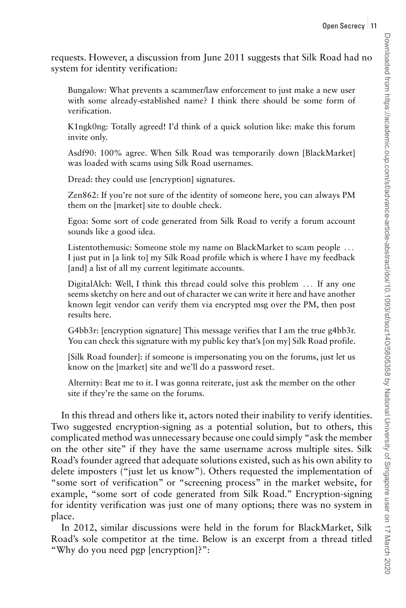requests. However, a discussion from June 2011 suggests that Silk Road had no system for identity verification:

Bungalow: What prevents a scammer/law enforcement to just make a new user with some already-established name? I think there should be some form of verification.

K1ngk0ng: Totally agreed! I'd think of a quick solution like: make this forum invite only.

Asdf90: 100% agree. When Silk Road was temporarily down [BlackMarket] was loaded with scams using Silk Road usernames.

Dread: they could use [encryption] signatures.

Zen862: If you're not sure of the identity of someone here, you can always PM them on the [market] site to double check.

Egoa: Some sort of code generated from Silk Road to verify a forum account sounds like a good idea.

Listentothemusic: Someone stole my name on BlackMarket to scam people ... I just put in [a link to] my Silk Road profile which is where I have my feedback [and] a list of all my current legitimate accounts.

DigitalAlch: Well, I think this thread could solve this problem ... If any one seems sketchy on here and out of character we can write it here and have another known legit vendor can verify them via encrypted msg over the PM, then post results here.

G4bb3r: [encryption signature] This message verifies that I am the true g4bb3r. You can check this signature with my public key that's [on my] Silk Road profile.

[Silk Road founder]: if someone is impersonating you on the forums, just let us know on the [market] site and we'll do a password reset.

Alternity: Beat me to it. I was gonna reiterate, just ask the member on the other site if they're the same on the forums.

In this thread and others like it, actors noted their inability to verify identities. Two suggested encryption-signing as a potential solution, but to others, this complicated method was unnecessary because one could simply "ask the member on the other site" if they have the same username across multiple sites. Silk Road's founder agreed that adequate solutions existed, such as his own ability to delete imposters ("just let us know"). Others requested the implementation of "some sort of verification" or "screening process" in the market website, for example, "some sort of code generated from Silk Road." Encryption-signing for identity verification was just one of many options; there was no system in place.

In 2012, similar discussions were held in the forum for BlackMarket, Silk Road's sole competitor at the time. Below is an excerpt from a thread titled "Why do you need pgp [encryption]?":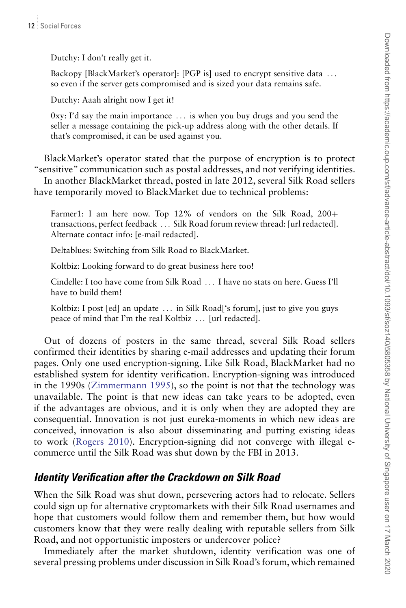Dutchy: I don't really get it.

Backopy [BlackMarket's operator]: [PGP is] used to encrypt sensitive data ... so even if the server gets compromised and is sized your data remains safe.

Dutchy: Aaah alright now I get it!

0xy: I'd say the main importance ... is when you buy drugs and you send the seller a message containing the pick-up address along with the other details. If that's compromised, it can be used against you.

BlackMarket's operator stated that the purpose of encryption is to protect "sensitive" communication such as postal addresses, and not verifying identities. In another BlackMarket thread, posted in late 2012, several Silk Road sellers have temporarily moved to BlackMarket due to technical problems:

Farmer1: I am here now. Top 12% of vendors on the Silk Road, 200+ transactions, perfect feedback ... Silk Road forum review thread: [url redacted]. Alternate contact info: [e-mail redacted].

Deltablues: Switching from Silk Road to BlackMarket.

Koltbiz: Looking forward to do great business here too!

Cindelle: I too have come from Silk Road ... I have no stats on here. Guess I'll have to build them!

Koltbiz: I post [ed] an update ... in Silk Road['s forum], just to give you guys peace of mind that I'm the real Koltbiz ... [url redacted].

Out of dozens of posters in the same thread, several Silk Road sellers confirmed their identities by sharing e-mail addresses and updating their forum pages. Only one used encryption-signing. Like Silk Road, BlackMarket had no established system for identity verification. Encryption-signing was introduced in the 1990s (Zimmermann 1995), so the point is not that the technology was unavailable. The point is that new ideas can take years to be adopted, even if the advantages are obvious, and it is only when they are adopted they are consequential. Innovation is not just eureka-moments in which new ideas are conceived, innovation is also about disseminating and putting existing ideas to work (Rogers 2010). Encryption-signing did not converge with illegal ecommerce until the Silk Road was shut down by the FBI in 2013.

#### **Identity Verification after the Crackdown on Silk Road**

When the Silk Road was shut down, persevering actors had to relocate. Sellers could sign up for alternative cryptomarkets with their Silk Road usernames and hope that customers would follow them and remember them, but how would customers know that they were really dealing with reputable sellers from Silk Road, and not opportunistic imposters or undercover police?

Immediately after the market shutdown, identity verification was one of several pressing problems under discussion in Silk Road's forum, which remained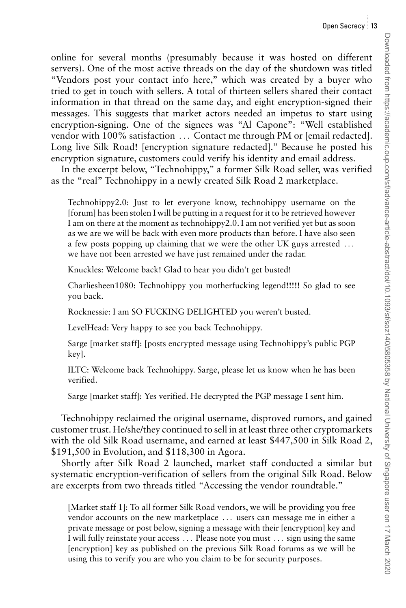online for several months (presumably because it was hosted on different servers). One of the most active threads on the day of the shutdown was titled "Vendors post your contact info here," which was created by a buyer who tried to get in touch with sellers. A total of thirteen sellers shared their contact information in that thread on the same day, and eight encryption-signed their messages. This suggests that market actors needed an impetus to start using encryption-signing. One of the signees was "Al Capone": "Well established vendor with 100% satisfaction ... Contact me through PM or [email redacted]. Long live Silk Road! [encryption signature redacted]." Because he posted his encryption signature, customers could verify his identity and email address.

In the excerpt below, "Technohippy," a former Silk Road seller, was verified as the "real" Technohippy in a newly created Silk Road 2 marketplace.

Technohippy2.0: Just to let everyone know, technohippy username on the [forum] has been stolen I will be putting in a request for it to be retrieved however I am on there at the moment as technohippy2.0. I am not verified yet but as soon as we are we will be back with even more products than before. I have also seen a few posts popping up claiming that we were the other UK guys arrested ... we have not been arrested we have just remained under the radar.

Knuckles: Welcome back! Glad to hear you didn't get busted!

Charliesheen1080: Technohippy you motherfucking legend!!!!! So glad to see you back.

Rocknessie: I am SO FUCKING DELIGHTED you weren't busted.

LevelHead: Very happy to see you back Technohippy.

Sarge [market staff]: [posts encrypted message using Technohippy's public PGP key].

ILTC: Welcome back Technohippy. Sarge, please let us know when he has been verified.

Sarge [market staff]: Yes verified. He decrypted the PGP message I sent him.

Technohippy reclaimed the original username, disproved rumors, and gained customer trust. He/she/they continued to sell in at least three other cryptomarkets with the old Silk Road username, and earned at least \$447,500 in Silk Road 2, \$191,500 in Evolution, and \$118,300 in Agora.

Shortly after Silk Road 2 launched, market staff conducted a similar but systematic encryption-verification of sellers from the original Silk Road. Below are excerpts from two threads titled "Accessing the vendor roundtable."

[Market staff 1]: To all former Silk Road vendors, we will be providing you free vendor accounts on the new marketplace ... users can message me in either a private message or post below, signing a message with their [encryption] key and I will fully reinstate your access ... Please note you must ... sign using the same [encryption] key as published on the previous Silk Road forums as we will be using this to verify you are who you claim to be for security purposes.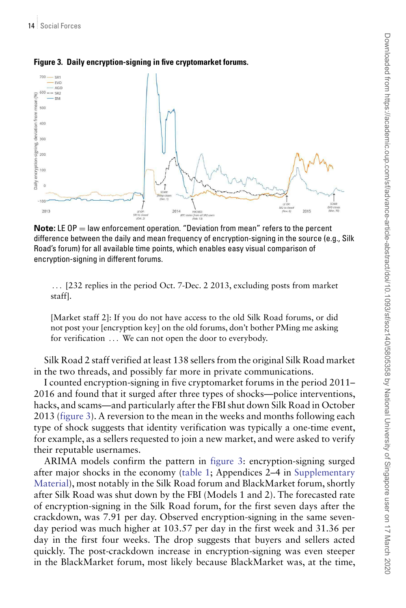

**Figure 3. Daily encryption-signing in five cryptomarket forums.**

**Note:** LE OP = law enforcement operation. "Deviation from mean" refers to the percent difference between the daily and mean frequency of encryption-signing in the source (e.g., Silk Road's forum) for all available time points, which enables easy visual comparison of encryption-signing in different forums.

... [232 replies in the period Oct. 7-Dec. 2 2013, excluding posts from market staff].

[Market staff 2]: If you do not have access to the old Silk Road forums, or did not post your [encryption key] on the old forums, don't bother PMing me asking for verification ... We can not open the door to everybody.

Silk Road 2 staff verified at least 138 sellers from the original Silk Road market in the two threads, and possibly far more in private communications.

I counted encryption-signing in five cryptomarket forums in the period 2011– 2016 and found that it surged after three types of shocks—police interventions, hacks, and scams—and particularly after the FBI shut down Silk Road in October 2013 (figure 3). A reversion to the mean in the weeks and months following each type of shock suggests that identity verification was typically a one-time event, for example, as a sellers requested to join a new market, and were asked to verify their reputable usernames.

ARIMA models confirm the pattern in figure 3: encryption-signing surged after major shocks in the economy (table 1; Appendices 2–4 in Supplementary Material), most notably in the Silk Road forum and BlackMarket forum, shortly after Silk Road was shut down by the FBI (Models 1 and 2). The forecasted rate of encryption-signing in the Silk Road forum, for the first seven days after the crackdown, was 7.91 per day. Observed encryption-signing in the same sevenday period was much higher at 103.57 per day in the first week and 31.36 per day in the first four weeks. The drop suggests that buyers and sellers acted quickly. The post-crackdown increase in encryption-signing was even steeper in the BlackMarket forum, most likely because BlackMarket was, at the time,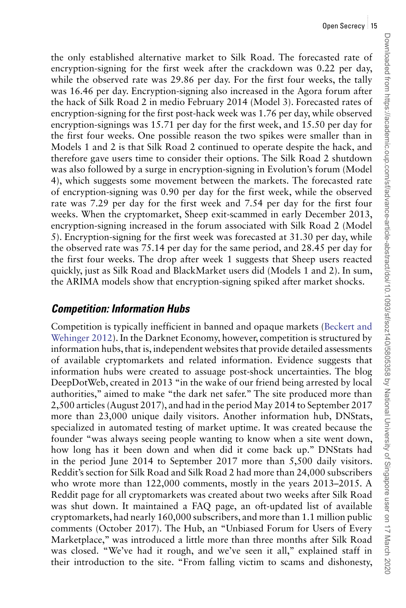the only established alternative market to Silk Road. The forecasted rate of encryption-signing for the first week after the crackdown was 0.22 per day, while the observed rate was 29.86 per day. For the first four weeks, the tally was 16.46 per day. Encryption-signing also increased in the Agora forum after the hack of Silk Road 2 in medio February 2014 (Model 3). Forecasted rates of encryption-signing for the first post-hack week was 1.76 per day, while observed encryption-signings was 15.71 per day for the first week, and 15.50 per day for the first four weeks. One possible reason the two spikes were smaller than in Models 1 and 2 is that Silk Road 2 continued to operate despite the hack, and therefore gave users time to consider their options. The Silk Road 2 shutdown was also followed by a surge in encryption-signing in Evolution's forum (Model 4), which suggests some movement between the markets. The forecasted rate of encryption-signing was 0.90 per day for the first week, while the observed rate was 7.29 per day for the first week and 7.54 per day for the first four weeks. When the cryptomarket, Sheep exit-scammed in early December 2013, encryption-signing increased in the forum associated with Silk Road 2 (Model 5). Encryption-signing for the first week was forecasted at 31.30 per day, while the observed rate was 75.14 per day for the same period, and 28.45 per day for the first four weeks. The drop after week 1 suggests that Sheep users reacted quickly, just as Silk Road and BlackMarket users did (Models 1 and 2). In sum, the ARIMA models show that encryption-signing spiked after market shocks.

#### **Competition: Information Hubs**

Competition is typically inefficient in banned and opaque markets (Beckert and Wehinger 2012). In the Darknet Economy, however, competition is structured by information hubs, that is, independent websites that provide detailed assessments of available cryptomarkets and related information. Evidence suggests that information hubs were created to assuage post-shock uncertainties. The blog DeepDotWeb, created in 2013 "in the wake of our friend being arrested by local authorities," aimed to make "the dark net safer." The site produced more than 2,500 articles (August 2017), and had in the period May 2014 to September 2017 more than 23,000 unique daily visitors. Another information hub, DNStats, specialized in automated testing of market uptime. It was created because the founder "was always seeing people wanting to know when a site went down, how long has it been down and when did it come back up." DNStats had in the period June 2014 to September 2017 more than 5,500 daily visitors. Reddit's section for Silk Road and Silk Road 2 had more than 24,000 subscribers who wrote more than 122,000 comments, mostly in the years 2013–2015. A Reddit page for all cryptomarkets was created about two weeks after Silk Road was shut down. It maintained a FAQ page, an oft-updated list of available cryptomarkets, had nearly 160,000 subscribers, and more than 1.1 million public comments (October 2017). The Hub, an "Unbiased Forum for Users of Every Marketplace," was introduced a little more than three months after Silk Road was closed. "We've had it rough, and we've seen it all," explained staff in their introduction to the site. "From falling victim to scams and dishonesty,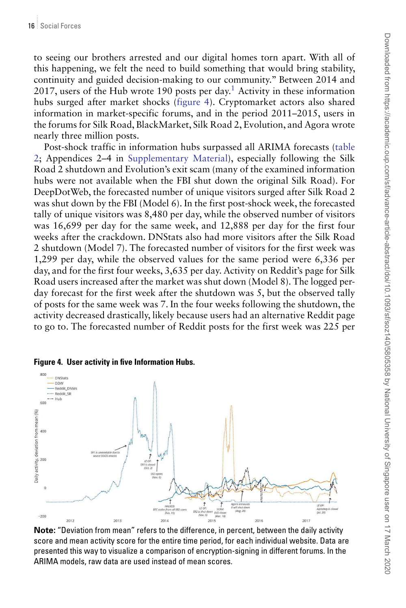to seeing our brothers arrested and our digital homes torn apart. With all of this happening, we felt the need to build something that would bring stability, continuity and guided decision-making to our community." Between 2014 and 2017, users of the Hub wrote 190 posts per day.<sup>1</sup> Activity in these information hubs surged after market shocks (figure 4). Cryptomarket actors also shared information in market-specific forums, and in the period 2011–2015, users in the forums for Silk Road, BlackMarket, Silk Road 2, Evolution, and Agora wrote nearly three million posts.

Post-shock traffic in information hubs surpassed all ARIMA forecasts (table 2; Appendices 2–4 in Supplementary Material), especially following the Silk Road 2 shutdown and Evolution's exit scam (many of the examined information hubs were not available when the FBI shut down the original Silk Road). For DeepDotWeb, the forecasted number of unique visitors surged after Silk Road 2 was shut down by the FBI (Model 6). In the first post-shock week, the forecasted tally of unique visitors was 8,480 per day, while the observed number of visitors was 16,699 per day for the same week, and 12,888 per day for the first four weeks after the crackdown. DNStats also had more visitors after the Silk Road 2 shutdown (Model 7). The forecasted number of visitors for the first week was 1,299 per day, while the observed values for the same period were 6,336 per day, and for the first four weeks, 3,635 per day. Activity on Reddit's page for Silk Road users increased after the market was shut down (Model 8). The logged perday forecast for the first week after the shutdown was 5, but the observed tally of posts for the same week was 7. In the four weeks following the shutdown, the activity decreased drastically, likely because users had an alternative Reddit page to go to. The forecasted number of Reddit posts for the first week was 225 per



#### **Figure 4. User activity in five Information Hubs.**

**Note:** "Deviation from mean" refers to the difference, in percent, between the daily activity score and mean activity score for the entire time period, for each individual website. Data are presented this way to visualize a comparison of encryption-signing in different forums. In the ARIMA models, raw data are used instead of mean scores.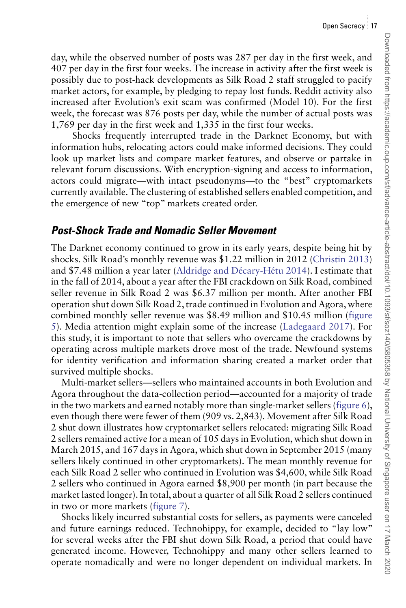day, while the observed number of posts was 287 per day in the first week, and 407 per day in the first four weeks. The increase in activity after the first week is possibly due to post-hack developments as Silk Road 2 staff struggled to pacify market actors, for example, by pledging to repay lost funds. Reddit activity also increased after Evolution's exit scam was confirmed (Model 10). For the first week, the forecast was 876 posts per day, while the number of actual posts was 1,769 per day in the first week and 1,335 in the first four weeks.

Shocks frequently interrupted trade in the Darknet Economy, but with information hubs, relocating actors could make informed decisions. They could look up market lists and compare market features, and observe or partake in relevant forum discussions. With encryption-signing and access to information, actors could migrate—with intact pseudonyms—to the "best" cryptomarkets currently available. The clustering of established sellers enabled competition, and the emergence of new "top" markets created order.

#### **Post-Shock Trade and Nomadic Seller Movement**

The Darknet economy continued to grow in its early years, despite being hit by shocks. Silk Road's monthly revenue was \$1.22 million in 2012 (Christin 2013) and \$7.48 million a year later (Aldridge and Décary-Hétu 2014). I estimate that in the fall of 2014, about a year after the FBI crackdown on Silk Road, combined seller revenue in Silk Road 2 was \$6.37 million per month. After another FBI operation shut down Silk Road 2, trade continued in Evolution and Agora, where combined monthly seller revenue was \$8.49 million and \$10.45 million (figure 5). Media attention might explain some of the increase (Ladegaard 2017). For this study, it is important to note that sellers who overcame the crackdowns by operating across multiple markets drove most of the trade. Newfound systems for identity verification and information sharing created a market order that survived multiple shocks.

Multi-market sellers—sellers who maintained accounts in both Evolution and Agora throughout the data-collection period—accounted for a majority of trade in the two markets and earned notably more than single-market sellers (figure 6), even though there were fewer of them (909 vs. 2,843). Movement after Silk Road 2 shut down illustrates how cryptomarket sellers relocated: migrating Silk Road 2 sellers remained active for a mean of 105 days in Evolution, which shut down in March 2015, and 167 days in Agora, which shut down in September 2015 (many sellers likely continued in other cryptomarkets). The mean monthly revenue for each Silk Road 2 seller who continued in Evolution was \$4,600, while Silk Road 2 sellers who continued in Agora earned \$8,900 per month (in part because the market lasted longer). In total, about a quarter of all Silk Road 2 sellers continued in two or more markets (figure 7).

Shocks likely incurred substantial costs for sellers, as payments were canceled and future earnings reduced. Technohippy, for example, decided to "lay low" for several weeks after the FBI shut down Silk Road, a period that could have generated income. However, Technohippy and many other sellers learned to operate nomadically and were no longer dependent on individual markets. In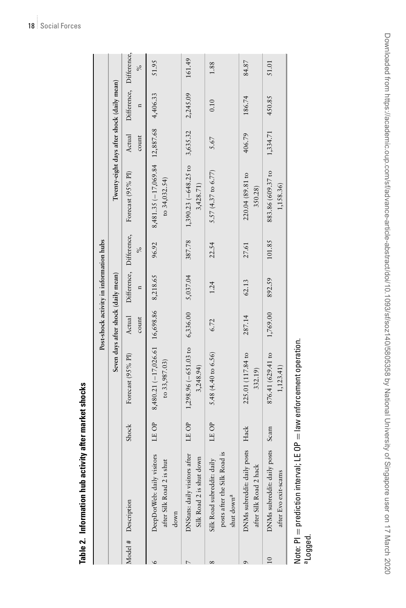|                                                                                            |       |                                                            | Seven days after shock (daily mean) | Post-shock activity in information hubs        |        | Twenty-eight days after shock (daily mean)            |          |                                                |               |
|--------------------------------------------------------------------------------------------|-------|------------------------------------------------------------|-------------------------------------|------------------------------------------------|--------|-------------------------------------------------------|----------|------------------------------------------------|---------------|
|                                                                                            |       |                                                            |                                     |                                                |        |                                                       |          |                                                |               |
| Model # Description                                                                        | Shock | Forecast (95% PI)                                          | count                               | Actual Difference, Difference,<br>$\mathbf{a}$ | $\%$   | Forecast (95% PI)                                     | count    | Actual Difference, Difference,<br>$\mathbf{a}$ | $\frac{9}{6}$ |
| DeepDotWeb: daily visitors<br>sshut<br>after Silk Road 2 i<br>down                         | LE OP | $8,480.21 (-17,026.61 16,698.86 8,218.65$<br>to 33,987.03) |                                     |                                                | 96.92  | $8,481.35 (-17,069.84 12,887.68$<br>to 34,032.54)     |          | 4,406.33                                       | 51.95         |
| DNStats: daily visitors after<br>Silk Road 2 is shut down                                  | LE OP | $1,298.96 (-651.03 to 6,336.00)$<br>3,248.94)              |                                     | 5,037.04                                       | 387.78 | 1,390.23 $(-648.25 \text{ to } 3,635.32)$<br>3,428.71 |          | 2,245.09                                       | 161.49        |
| Road is<br>daily<br>Silk Road subreddit:<br>posts after the Silk<br>shut down <sup>a</sup> | LE OP | 5.48 (4.40 to 6.56)                                        | 6.72                                | 1.24                                           | 22.54  | $5.57(4.37)$ to $6.77$ )                              | 5.67     | 0.10                                           | 1.88          |
| DNMs subreddit: daily posts<br>after Silk Road 2 hack                                      | Hack  | 225.01 (117.84 to<br>332.19)                               | 287.14                              | 62.13                                          | 27.61  | 220.04 (89.81 to<br>350.28)                           | 406.79   | 186.74                                         | 84.87         |
| DNMs subreddit: daily posts Scam<br>after Evo exit-scams                                   |       | 876.41 (629.41 to<br>1,123,41)                             | 1,769.00                            | 892.59                                         | 101.85 | 883.86 (609.37 to<br>1,158.36)                        | 1,334.71 | 450.85                                         | 51.01         |
|                                                                                            |       |                                                            |                                     |                                                |        |                                                       |          |                                                |               |

Table 2. Information hub activity after market shocks **Table 2. Information hub activity after market shocks**

Note: PI = prediction interval; LE OP = law enforcement operation. Note: PI = prediction interval; LE OP = law enforcement operation.<br><sup>a</sup>Logged. Downloaded from https://academic.oup.com/sf/advance-article-abstract/doi/10.1093/sf/soz140/5805358 by National University of Singapore user on 17 March 2020 Downloaded from https://academic.oup.com/sf/advance-article-abstract/doi/10.1093/sf/soz140/5805358 by National University of Singapore user on 17 March 2020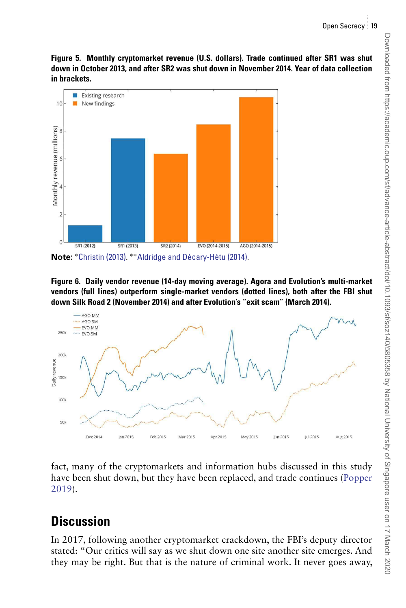**Figure 5. Monthly cryptomarket revenue (U.S. dollars). Trade continued after SR1 was shut down in October 2013, and after SR2 was shut down in November 2014. Year of data collection in brackets.**



**Figure 6. Daily vendor revenue (14-day moving average). Agora and Evolution's multi-market vendors (full lines) outperform single-market vendors (dotted lines), both after the FBI shut down Silk Road 2 (November 2014) and after Evolution's "exit scam" (March 2014).**



fact, many of the cryptomarkets and information hubs discussed in this study have been shut down, but they have been replaced, and trade continues (Popper 2019).

## **Discussion**

In 2017, following another cryptomarket crackdown, the FBI's deputy director stated: "Our critics will say as we shut down one site another site emerges. And they may be right. But that is the nature of criminal work. It never goes away,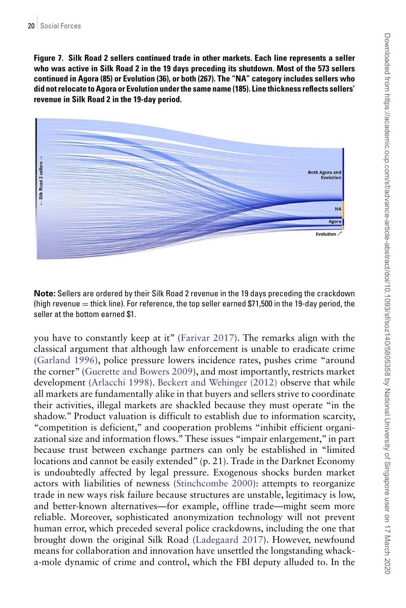**Figure 7. Silk Road 2 sellers continued trade in other markets. Each line represents a seller who was active in Silk Road 2 in the 19 days preceding its shutdown. Most of the 573 sellers continued in Agora (85) or Evolution (36), or both (267). The "NA" category includes sellers who did not relocate to Agora or Evolution under the same name (185). Line thickness reflects sellers' revenue in Silk Road 2 in the 19-day period.**



**Note:** Sellers are ordered by their Silk Road 2 revenue in the 19 days preceding the crackdown (high revenue  $=$  thick line). For reference, the top seller earned \$71,500 in the 19-day period, the seller at the bottom earned \$1.

you have to constantly keep at it" (Farivar 2017). The remarks align with the classical argument that although law enforcement is unable to eradicate crime (Garland 1996), police pressure lowers incidence rates, pushes crime "around the corner" (Guerette and Bowers 2009), and most importantly, restricts market development (Arlacchi 1998). Beckert and Wehinger (2012) observe that while all markets are fundamentally alike in that buyers and sellers strive to coordinate their activities, illegal markets are shackled because they must operate "in the shadow." Product valuation is difficult to establish due to information scarcity, "competition is deficient," and cooperation problems "inhibit efficient organizational size and information flows." These issues "impair enlargement," in part because trust between exchange partners can only be established in "limited locations and cannot be easily extended" (p. 21). Trade in the Darknet Economy is undoubtedly affected by legal pressure. Exogenous shocks burden market actors with liabilities of newness (Stinchcombe 2000): attempts to reorganize trade in new ways risk failure because structures are unstable, legitimacy is low, and better-known alternatives—for example, offline trade—might seem more reliable. Moreover, sophisticated anonymization technology will not prevent human error, which preceded several police crackdowns, including the one that brought down the original Silk Road (Ladegaard 2017). However, newfound means for collaboration and innovation have unsettled the longstanding whacka-mole dynamic of crime and control, which the FBI deputy alluded to. In the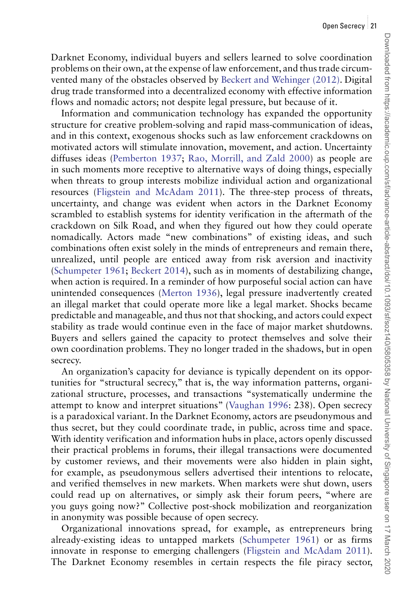Darknet Economy, individual buyers and sellers learned to solve coordination problems on their own, at the expense of law enforcement, and thus trade circumvented many of the obstacles observed by Beckert and Wehinger (2012). Digital drug trade transformed into a decentralized economy with effective information flows and nomadic actors; not despite legal pressure, but because of it.

Information and communication technology has expanded the opportunity structure for creative problem-solving and rapid mass-communication of ideas, and in this context, exogenous shocks such as law enforcement crackdowns on motivated actors will stimulate innovation, movement, and action. Uncertainty diffuses ideas (Pemberton 1937; Rao, Morrill, and Zald 2000) as people are in such moments more receptive to alternative ways of doing things, especially when threats to group interests mobilize individual action and organizational resources (Fligstein and McAdam 2011). The three-step process of threats, uncertainty, and change was evident when actors in the Darknet Economy scrambled to establish systems for identity verification in the aftermath of the crackdown on Silk Road, and when they figured out how they could operate nomadically. Actors made "new combinations" of existing ideas, and such combinations often exist solely in the minds of entrepreneurs and remain there, unrealized, until people are enticed away from risk aversion and inactivity (Schumpeter 1961; Beckert 2014), such as in moments of destabilizing change, when action is required. In a reminder of how purposeful social action can have unintended consequences (Merton 1936), legal pressure inadvertently created an illegal market that could operate more like a legal market. Shocks became predictable and manageable, and thus not that shocking, and actors could expect stability as trade would continue even in the face of major market shutdowns. Buyers and sellers gained the capacity to protect themselves and solve their own coordination problems. They no longer traded in the shadows, but in open secrecy.

An organization's capacity for deviance is typically dependent on its opportunities for "structural secrecy," that is, the way information patterns, organizational structure, processes, and transactions "systematically undermine the attempt to know and interpret situations" (Vaughan 1996: 238). Open secrecy is a paradoxical variant. In the Darknet Economy, actors are pseudonymous and thus secret, but they could coordinate trade, in public, across time and space. With identity verification and information hubs in place, actors openly discussed their practical problems in forums, their illegal transactions were documented by customer reviews, and their movements were also hidden in plain sight, for example, as pseudonymous sellers advertised their intentions to relocate, and verified themselves in new markets. When markets were shut down, users could read up on alternatives, or simply ask their forum peers, "where are you guys going now?" Collective post-shock mobilization and reorganization in anonymity was possible because of open secrecy.

Organizational innovations spread, for example, as entrepreneurs bring already-existing ideas to untapped markets (Schumpeter 1961) or as firms innovate in response to emerging challengers (Fligstein and McAdam 2011). The Darknet Economy resembles in certain respects the file piracy sector,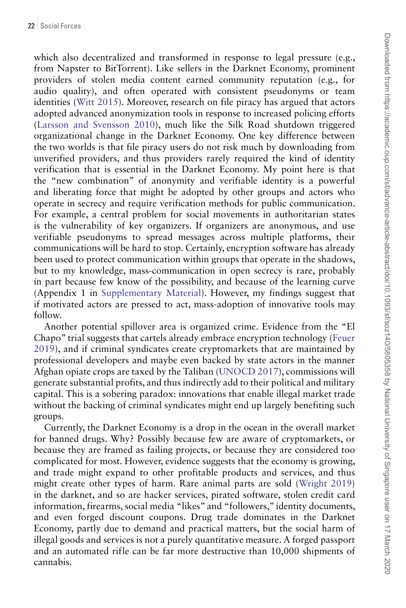which also decentralized and transformed in response to legal pressure (e.g., from Napster to BitTorrent). Like sellers in the Darknet Economy, prominent providers of stolen media content earned community reputation (e.g., for audio quality), and often operated with consistent pseudonyms or team identities (Witt 2015). Moreover, research on file piracy has argued that actors adopted advanced anonymization tools in response to increased policing efforts (Larsson and Svensson 2010), much like the Silk Road shutdown triggered organizational change in the Darknet Economy. One key difference between the two worlds is that file piracy users do not risk much by downloading from unverified providers, and thus providers rarely required the kind of identity verification that is essential in the Darknet Economy. My point here is that the "new combination" of anonymity and verifiable identity is a powerful and liberating force that might be adopted by other groups and actors who operate in secrecy and require verification methods for public communication. For example, a central problem for social movements in authoritarian states is the vulnerability of key organizers. If organizers are anonymous, and use verifiable pseudonyms to spread messages across multiple platforms, their communications will be hard to stop. Certainly, encryption software has already been used to protect communication within groups that operate in the shadows, but to my knowledge, mass-communication in open secrecy is rare, probably in part because few know of the possibility, and because of the learning curve (Appendix 1 in Supplementary Material). However, my findings suggest that if motivated actors are pressed to act, mass-adoption of innovative tools may follow.

Another potential spillover area is organized crime. Evidence from the "El Chapo" trial suggests that cartels already embrace encryption technology (Feuer 2019), and if criminal syndicates create cryptomarkets that are maintained by professional developers and maybe even backed by state actors in the manner Afghan opiate crops are taxed by the Taliban (UNOCD 2017), commissions will generate substantial profits, and thus indirectly add to their political and military capital. This is a sobering paradox: innovations that enable illegal market trade without the backing of criminal syndicates might end up largely benefiting such groups.

Currently, the Darknet Economy is a drop in the ocean in the overall market for banned drugs. Why? Possibly because few are aware of cryptomarkets, or because they are framed as failing projects, or because they are considered too complicated for most. However, evidence suggests that the economy is growing, and trade might expand to other profitable products and services, and thus might create other types of harm. Rare animal parts are sold (Wright 2019) in the darknet, and so are hacker services, pirated software, stolen credit card information, firearms, social media "likes" and "followers," identity documents, and even forged discount coupons. Drug trade dominates in the Darknet Economy, partly due to demand and practical matters, but the social harm of illegal goods and services is not a purely quantitative measure. A forged passport and an automated rifle can be far more destructive than 10,000 shipments of cannabis.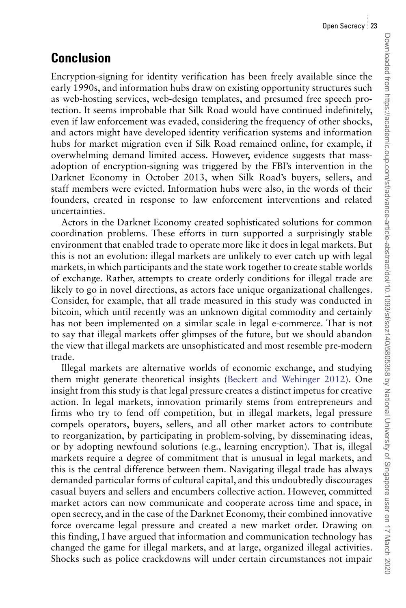### **Conclusion**

Encryption-signing for identity verification has been freely available since the early 1990s, and information hubs draw on existing opportunity structures such as web-hosting services, web-design templates, and presumed free speech protection. It seems improbable that Silk Road would have continued indefinitely, even if law enforcement was evaded, considering the frequency of other shocks, and actors might have developed identity verification systems and information hubs for market migration even if Silk Road remained online, for example, if overwhelming demand limited access. However, evidence suggests that massadoption of encryption-signing was triggered by the FBI's intervention in the Darknet Economy in October 2013, when Silk Road's buyers, sellers, and staff members were evicted. Information hubs were also, in the words of their founders, created in response to law enforcement interventions and related uncertainties.

Actors in the Darknet Economy created sophisticated solutions for common coordination problems. These efforts in turn supported a surprisingly stable environment that enabled trade to operate more like it does in legal markets. But this is not an evolution: illegal markets are unlikely to ever catch up with legal markets, in which participants and the state work together to create stable worlds of exchange. Rather, attempts to create orderly conditions for illegal trade are likely to go in novel directions, as actors face unique organizational challenges. Consider, for example, that all trade measured in this study was conducted in bitcoin, which until recently was an unknown digital commodity and certainly has not been implemented on a similar scale in legal e-commerce. That is not to say that illegal markets offer glimpses of the future, but we should abandon the view that illegal markets are unsophisticated and most resemble pre-modern trade.

Illegal markets are alternative worlds of economic exchange, and studying them might generate theoretical insights (Beckert and Wehinger 2012). One insight from this study is that legal pressure creates a distinct impetus for creative action. In legal markets, innovation primarily stems from entrepreneurs and firms who try to fend off competition, but in illegal markets, legal pressure compels operators, buyers, sellers, and all other market actors to contribute to reorganization, by participating in problem-solving, by disseminating ideas, or by adopting newfound solutions (e.g., learning encryption). That is, illegal markets require a degree of commitment that is unusual in legal markets, and this is the central difference between them. Navigating illegal trade has always demanded particular forms of cultural capital, and this undoubtedly discourages casual buyers and sellers and encumbers collective action. However, committed market actors can now communicate and cooperate across time and space, in open secrecy, and in the case of the Darknet Economy, their combined innovative force overcame legal pressure and created a new market order. Drawing on this finding, I have argued that information and communication technology has changed the game for illegal markets, and at large, organized illegal activities. Shocks such as police crackdowns will under certain circumstances not impair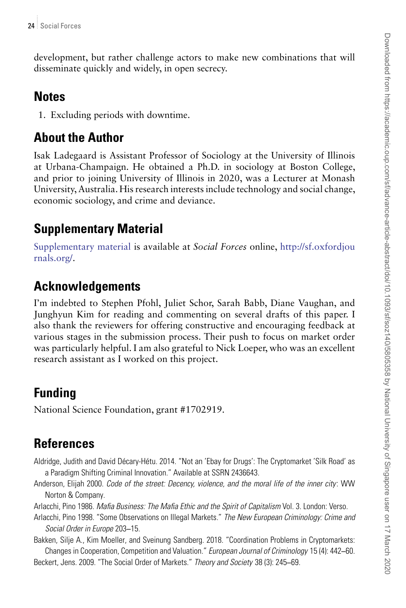development, but rather challenge actors to make new combinations that will disseminate quickly and widely, in open secrecy.

### **Notes**

1. Excluding periods with downtime.

## **About the Author**

Isak Ladegaard is Assistant Professor of Sociology at the University of Illinois at Urbana-Champaign. He obtained a Ph.D. in sociology at Boston College, and prior to joining University of Illinois in 2020, was a Lecturer at Monash University, Australia. His research interests include technology and social change, economic sociology, and crime and deviance.

## **Supplementary Material**

Supplementary material is available at Social Forces online, http://sf.oxfordjou rnals.org/.

## **Acknowledgements**

I'm indebted to Stephen Pfohl, Juliet Schor, Sarah Babb, Diane Vaughan, and Junghyun Kim for reading and commenting on several drafts of this paper. I also thank the reviewers for offering constructive and encouraging feedback at various stages in the submission process. Their push to focus on market order was particularly helpful. I am also grateful to Nick Loeper, who was an excellent research assistant as I worked on this project.

# **Funding**

National Science Foundation, grant #1702919.

# **References**

- Aldridge, Judith and David Décary-Hétu. 2014. "Not an 'Ebay for Drugs': The Cryptomarket 'Silk Road' as a Paradigm Shifting Criminal Innovation." Available at SSRN 2436643.
- Anderson, Elijah 2000. *Code of the street: Decency, violence, and the moral life of the inner city*: WW Norton & Company.
- Arlacchi, Pino 1986. *Mafia Business: The Mafia Ethic and the Spirit of Capitalism* Vol. 3. London: Verso.
- Arlacchi, Pino 1998. "Some Observations on Illegal Markets." *The New European Criminology: Crime and Social Order in Europe* 203–15.

Bakken, Silje A., Kim Moeller, and Sveinung Sandberg. 2018. "Coordination Problems in Cryptomarkets: Changes in Cooperation, Competition and Valuation." *European Journal of Criminology* 15 (4): 442–60. Beckert, Jens. 2009. "The Social Order of Markets." *Theory and Society* 38 (3): 245–69.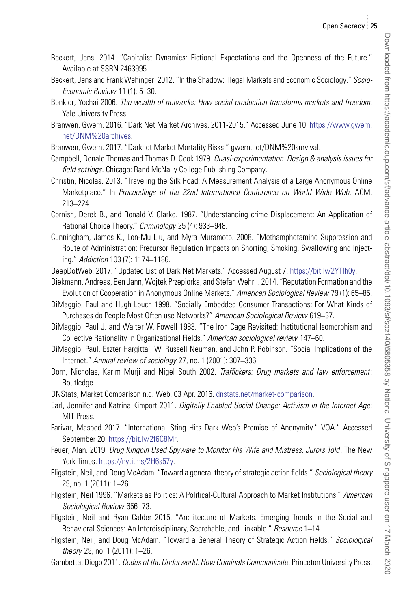- Beckert, Jens. 2014. "Capitalist Dynamics: Fictional Expectations and the Openness of the Future." Available at SSRN 2463995.
- Beckert, Jens and Frank Wehinger. 2012. "In the Shadow: Illegal Markets and Economic Sociology." *Socio-Economic Review* 11 (1): 5–30.
- Benkler, Yochai 2006. *The wealth of networks: How social production transforms markets and freedom*: Yale University Press.
- Branwen, Gwern. 2016. "Dark Net Market Archives, 2011-2015." Accessed June 10. https://www.gwern. net/DNM%20archives.
- Branwen, Gwern. 2017. "Darknet Market Mortality Risks." gwern.net/DNM%20survival.
- Campbell, Donald Thomas and Thomas D. Cook 1979. *Quasi-experimentation: Design & analysis issues for field settings*. Chicago: Rand McNally College Publishing Company.
- Christin, Nicolas. 2013. "Traveling the Silk Road: A Measurement Analysis of a Large Anonymous Online Marketplace." In *Proceedings of the 22nd International Conference on World Wide Web*. ACM, 213–224.
- Cornish, Derek B., and Ronald V. Clarke. 1987. "Understanding crime Displacement: An Application of Rational Choice Theory." *Criminology* 25 (4): 933–948.
- Cunningham, James K., Lon-Mu Liu, and Myra Muramoto. 2008. "Methamphetamine Suppression and Route of Administration: Precursor Regulation Impacts on Snorting, Smoking, Swallowing and Injecting." *Addiction* 103 (7): 1174–1186.
- DeepDotWeb. 2017. "Updated List of Dark Net Markets." Accessed August 7. https://bit.ly/2YTIh0y.
- Diekmann, Andreas, Ben Jann, Wojtek Przepiorka, and Stefan Wehrli. 2014. "Reputation Formation and the Evolution of Cooperation in Anonymous Online Markets." *American Sociological Review* 79 (1): 65–85.
- DiMaggio, Paul and Hugh Louch 1998. "Socially Embedded Consumer Transactions: For What Kinds of Purchases do People Most Often use Networks?" *American Sociological Review* 619–37.
- DiMaggio, Paul J. and Walter W. Powell 1983. "The Iron Cage Revisited: Institutional Isomorphism and Collective Rationality in Organizational Fields." *American sociological review* 147–60.
- DiMaggio, Paul, Eszter Hargittai, W. Russell Neuman, and John P. Robinson. "Social Implications of the Internet." *Annual review of sociology* 27, no. 1 (2001): 307–336.
- Dorn, Nicholas, Karim Murji and Nigel South 2002. *Traffickers: Drug markets and law enforcement*: Routledge.
- DNStats, Market Comparison n.d. Web. 03 Apr. 2016. dnstats.net/market-comparison.
- Earl, Jennifer and Katrina Kimport 2011. *Digitally Enabled Social Change: Activism in the Internet Age*: MIT Press.
- Farivar, Masood 2017. "International Sting Hits Dark Web's Promise of Anonymity." VOA." Accessed September 20. https://bit.ly/2f6C8Mr.
- Feuer, Alan. 2019. *Drug Kingpin Used Spyware to Monitor His Wife and Mistress, Jurors Told*. The New York Times. https://nyti.ms/2H6s57y.
- Fligstein, Neil, and Doug McAdam. "Toward a general theory of strategic action fields." *Sociological theory* 29, no. 1 (2011): 1–26.
- Fligstein, Neil 1996. "Markets as Politics: A Political-Cultural Approach to Market Institutions." *American Sociological Review* 656–73.
- Fligstein, Neil and Ryan Calder 2015. "Architecture of Markets. Emerging Trends in the Social and Behavioral Sciences: An Interdisciplinary, Searchable, and Linkable." *Resource* 1–14.
- Fligstein, Neil, and Doug McAdam. "Toward a General Theory of Strategic Action Fields." *Sociological theory* 29, no. 1 (2011): 1–26.
- Gambetta, Diego 2011. *Codes of the Underworld: How Criminals Communicate*: Princeton University Press.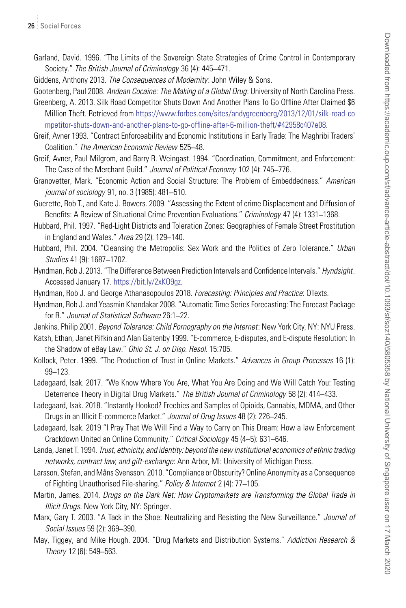- Garland, David. 1996. "The Limits of the Sovereign State Strategies of Crime Control in Contemporary Society." *The British Journal of Criminology* 36 (4): 445–471.
- Giddens, Anthony 2013. *The Consequences of Modernity*: John Wiley & Sons.

Gootenberg, Paul 2008. *Andean Cocaine: The Making of a Global Drug*: University of North Carolina Press.

- Greenberg, A. 2013. Silk Road Competitor Shuts Down And Another Plans To Go Offline After Claimed \$6 Million Theft. Retrieved from https://www.forbes.com/sites/andygreenberg/2013/12/01/silk-road-co mpetitor-shuts-down-and-another-plans-to-go-offline-after-6-million-theft/#42958c407e08.
- Greif, Avner 1993. "Contract Enforceability and Economic Institutions in Early Trade: The Maghribi Traders' Coalition." *The American Economic Review* 525–48.
- Greif, Avner, Paul Milgrom, and Barry R. Weingast. 1994. "Coordination, Commitment, and Enforcement: The Case of the Merchant Guild." *Journal of Political Economy* 102 (4): 745–776.
- Granovetter, Mark. "Economic Action and Social Structure: The Problem of Embeddedness." *American journal of sociology* 91, no. 3 (1985): 481–510.
- Guerette, Rob T., and Kate J. Bowers. 2009. "Assessing the Extent of crime Displacement and Diffusion of Benefits: A Review of Situational Crime Prevention Evaluations." *Criminology* 47 (4): 1331–1368.
- Hubbard, Phil. 1997. "Red-Light Districts and Toleration Zones: Geographies of Female Street Prostitution in England and Wales." *Area* 29 (2): 129–140.
- Hubbard, Phil. 2004. "Cleansing the Metropolis: Sex Work and the Politics of Zero Tolerance." *Urban Studies* 41 (9): 1687–1702.
- Hyndman, Rob J. 2013. "The Difference Between Prediction Intervals and Confidence Intervals." *Hyndsight*. Accessed January 17. https://bit.ly/2xKO9gz.
- Hyndman, Rob J. and George Athanasopoulos 2018. *Forecasting: Principles and Practice*: OTexts.
- Hyndman, Rob J. and Yeasmin Khandakar 2008. "Automatic Time Series Forecasting: The Forecast Package for R." *Journal of Statistical Software* 26:1–22.
- Jenkins, Philip 2001. *Beyond Tolerance: Child Pornography on the Internet*: New York City, NY: NYU Press.
- Katsh, Ethan, Janet Rifkin and Alan Gaitenby 1999. "E-commerce, E-disputes, and E-dispute Resolution: In the Shadow of eBay Law." *Ohio St. J. on Disp. Resol.* 15:705.
- Kollock, Peter. 1999. "The Production of Trust in Online Markets." *Advances in Group Processes* 16 (1): 99–123.
- Ladegaard, Isak. 2017. "We Know Where You Are, What You Are Doing and We Will Catch You: Testing Deterrence Theory in Digital Drug Markets." *The British Journal of Criminology* 58 (2): 414–433.
- Ladegaard, Isak. 2018. "Instantly Hooked? Freebies and Samples of Opioids, Cannabis, MDMA, and Other Drugs in an Illicit E-commerce Market." *Journal of Drug Issues* 48 (2): 226–245.
- Ladegaard, Isak. 2019 "I Pray That We Will Find a Way to Carry on This Dream: How a law Enforcement Crackdown United an Online Community." *Critical Sociology* 45 (4–5): 631–646.
- Landa, Janet T. 1994. *Trust, ethnicity, and identity: beyond the new institutional economics of ethnic trading networks, contract law, and gift-exchange*: Ann Arbor, MI: University of Michigan Press.
- Larsson, Stefan, and Måns Svensson. 2010. "Compliance or Obscurity? Online Anonymity as a Consequence of Fighting Unauthorised File-sharing." *Policy & Internet* 2 (4): 77–105.
- Martin, James. 2014. *Drugs on the Dark Net: How Cryptomarkets are Transforming the Global Trade in Illicit Drugs*. New York City, NY: Springer.
- Marx, Gary T. 2003. "A Tack in the Shoe: Neutralizing and Resisting the New Surveillance." *Journal of Social Issues* 59 (2): 369–390.
- May, Tiggey, and Mike Hough. 2004. "Drug Markets and Distribution Systems." *Addiction Research & Theory* 12 (6): 549–563.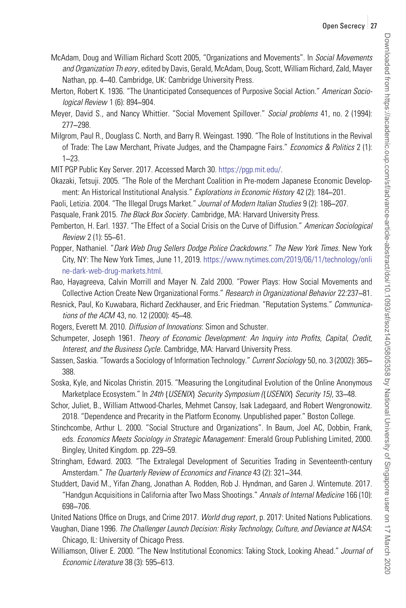- McAdam, Doug and William Richard Scott 2005, "Organizations and Movements". In *Social Movements and Organization Th eory*, edited by Davis, Gerald, McAdam, Doug, Scott, William Richard, Zald, Mayer Nathan, pp. 4–40. Cambridge, UK: Cambridge University Press.
- Merton, Robert K. 1936. "The Unanticipated Consequences of Purposive Social Action." *American Sociological Review* 1 (6): 894–904.
- Meyer, David S., and Nancy Whittier. "Social Movement Spillover." *Social problems* 41, no. 2 (1994): 277–298.
- Milgrom, Paul R., Douglass C. North, and Barry R. Weingast. 1990. "The Role of Institutions in the Revival of Trade: The Law Merchant, Private Judges, and the Champagne Fairs." *Economics & Politics* 2 (1):  $1 - 23$

MIT PGP Public Key Server. 2017. Accessed March 30. https://pgp.mit.edu/.

- Okazaki, Tetsuji. 2005. "The Role of the Merchant Coalition in Pre-modern Japanese Economic Development: An Historical Institutional Analysis." *Explorations in Economic History* 42 (2): 184–201.
- Paoli, Letizia. 2004. "The Illegal Drugs Market." *Journal of Modern Italian Studies* 9 (2): 186–207.

Pasquale, Frank 2015. *The Black Box Society*. Cambridge, MA: Harvard University Press.

- Pemberton, H. Earl. 1937. "The Effect of a Social Crisis on the Curve of Diffusion." *American Sociological Review* 2 (1): 55–61.
- Popper, Nathaniel. "*Dark Web Drug Sellers Dodge Police Crackdowns*." *The New York Times*. New York City, NY: The New York Times, June 11, 2019. https://www.nytimes.com/2019/06/11/technology/onli ne-dark-web-drug-markets.html.
- Rao, Hayagreeva, Calvin Morrill and Mayer N. Zald 2000. "Power Plays: How Social Movements and Collective Action Create New Organizational Forms." *Research in Organizational Behavior* 22:237–81.
- Resnick, Paul, Ko Kuwabara, Richard Zeckhauser, and Eric Friedman. "Reputation Systems." *Communications of the ACM* 43, no. 12 (2000): 45–48.
- Rogers, Everett M. 2010. *Diffusion of Innovations*: Simon and Schuster.
- Schumpeter, Joseph 1961. *Theory of Economic Development: An Inquiry into Profits, Capital, Credit, Interest, and the Business Cycle*. Cambridge, MA: Harvard University Press.
- Sassen, Saskia. "Towards a Sociology of Information Technology." *Current Sociology* 50, no. 3 (2002): 365– 388.
- Soska, Kyle, and Nicolas Christin. 2015. "Measuring the Longitudinal Evolution of the Online Anonymous Marketplace Ecosystem." In *24th* {*USENIX*} *Security Symposium (*{*USENIX*} *Security 15)*, 33–48.
- Schor, Juliet, B., William Attwood-Charles, Mehmet Cansoy, Isak Ladegaard, and Robert Wengronowitz. 2018. "Dependence and Precarity in the Platform Economy. Unpublished paper." Boston College.
- Stinchcombe, Arthur L. 2000. "Social Structure and Organizations". In Baum, Joel AC, Dobbin, Frank, eds. *Economics Meets Sociology in Strategic Management*: Emerald Group Publishing Limited, 2000. Bingley, United Kingdom. pp. 229–59.
- Stringham, Edward. 2003. "The Extralegal Development of Securities Trading in Seventeenth-century Amsterdam." *The Quarterly Review of Economics and Finance* 43 (2): 321–344.
- Studdert, David M., Yifan Zhang, Jonathan A. Rodden, Rob J. Hyndman, and Garen J. Wintemute. 2017. "Handgun Acquisitions in California after Two Mass Shootings." *Annals of Internal Medicine* 166 (10): 698–706.

United Nations Office on Drugs, and Crime 2017. *World drug report*, p. 2017: United Nations Publications.

- Vaughan, Diane 1996. *The Challenger Launch Decision: Risky Technology, Culture, and Deviance at NASA*: Chicago, IL: University of Chicago Press.
- Williamson, Oliver E. 2000. "The New Institutional Economics: Taking Stock, Looking Ahead." *Journal of Economic Literature* 38 (3): 595–613.